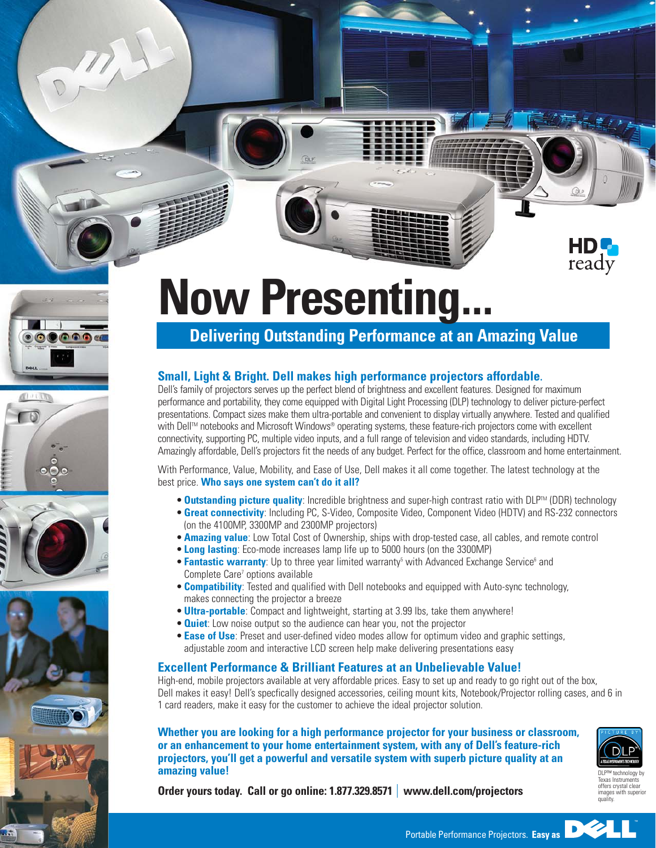







## **Now Presenting...**

## **Delivering Outstanding Performance at an Amazing Value**

## **Small, Light & Bright. Dell makes high performance projectors affordable.**

Dell's family of projectors serves up the perfect blend of brightness and excellent features. Designed for maximum performance and portability, they come equipped with Digital Light Processing (DLP) technology to deliver picture-perfect presentations. Compact sizes make them ultra-portable and convenient to display virtually anywhere. Tested and qualified with Dell™ notebooks and Microsoft Windows® operating systems, these feature-rich projectors come with excellent connectivity, supporting PC, multiple video inputs, and a full range of television and video standards, including HDTV. Amazingly affordable, Dell's projectors fit the needs of any budget. Perfect for the office, classroom and home entertainment.

With Performance, Value, Mobility, and Ease of Use, Dell makes it all come together. The latest technology at the best price. **Who says one system can't do it all?**

- **Outstanding picture quality**: Incredible brightness and super-high contrast ratio with DLP<sup>TM</sup> (DDR) technology
- **Great connectivity**: Including PC, S-Video, Composite Video, Component Video (HDTV) and RS-232 connectors (on the 4100MP, 3300MP and 2300MP projectors)
- **Amazing value**: Low Total Cost of Ownership, ships with drop-tested case, all cables, and remote control
- **Long lasting**: Eco-mode increases lamp life up to 5000 hours (on the 3300MP)
- **Fantastic warranty**: Up to three year limited warranty<sup>5</sup> with Advanced Exchange Service<sup>6</sup> and Complete Care<sup>7</sup> options available
- **Compatibility**: Tested and qualified with Dell notebooks and equipped with Auto-sync technology, makes connecting the projector a breeze
- **Ultra-portable**: Compact and lightweight, starting at 3.99 lbs, take them anywhere!
- **Quiet:** Low noise output so the audience can hear you, not the projector
- **Ease of Use**: Preset and user-defined video modes allow for optimum video and graphic settings, adjustable zoom and interactive LCD screen help make delivering presentations easy

## **Excellent Performance & Brilliant Features at an Unbelievable Value!**

High-end, mobile projectors available at very affordable prices. Easy to set up and ready to go right out of the box, Dell makes it easy! Dell's specfically designed accessories, ceiling mount kits, Notebook/Projector rolling cases, and 6 in 1 card readers, make it easy for the customer to achieve the ideal projector solution.

**Whether you are looking for a high performance projector for your business or classroom, or an enhancement to your home entertainment system, with any of Dell's feature-rich projectors, you'll get a powerful and versatile system with superb picture quality at an amazing value!**



ready

Texas Instruments offers crystal clear images with sunerin quality.

**Order yours today. Call or go online: 1.877.329.8571 www.dell.com/projectors**